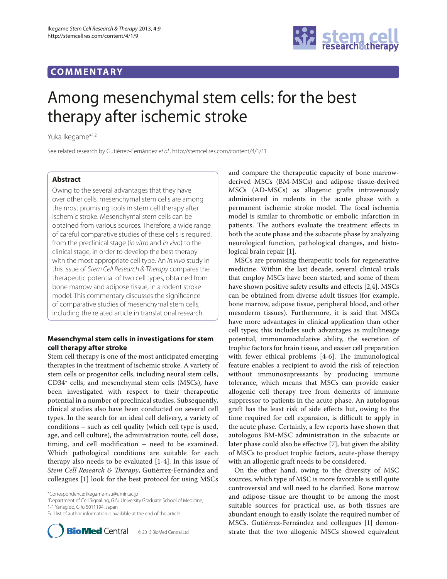## **COMMENTARY**



# Among mesenchymal stem cells: for the best therapy after ischemic stroke

Yuka Ikegame<sup>\*1,2</sup>

See related research by Gutiérrez-Fernández et al., http://stemcellres.com/content/4/1/11

## **Abstract**

Owing to the several advantages that they have over other cells, mesenchymal stem cells are among the most promising tools in stem cell therapy after ischemic stroke. Mesenchymal stem cells can be obtained from various sources. Therefore, a wide range of careful comparative studies of these cells is required, from the preclinical stage (in vitro and in vivo) to the clinical stage, in order to develop the best therapy with the most appropriate cell type. An in vivo study in this issue of Stem Cell Research & Therapy compares the therapeutic potential of two cell types, obtained from bone marrow and adipose tissue, in a rodent stroke model. This commentary discusses the significance of comparative studies of mesenchymal stem cells, including the related article in translational research.

## **Mesenchymal stem cells in investigations for stem cell therapy after stroke**

Stem cell therapy is one of the most anticipated emerging therapies in the treatment of ischemic stroke. A variety of stem cells or progenitor cells, including neural stem cells, CD34+ cells, and mesenchymal stem cells (MSCs), have been investigated with respect to their therapeutic potential in a number of preclinical studies. Subsequently, clinical studies also have been conducted on several cell types. In the search for an ideal cell delivery, a variety of conditions – such as cell quality (which cell type is used, age, and cell culture), the administration route, cell dose, timing, and cell modification  $-$  need to be examined. Which pathological conditions are suitable for each therapy also needs to be evaluated [1-4]. In this issue of *Stem Cell Research & Therapy*, Gutiérrez-Fernández and colleagues [1] look for the best protocol for using MSCs

\*Correspondence: ikegame-nsu@umin.ac.jp

1 Department of Cell Signaling, Gifu University Graduate School of Medicine, 1-1 Yanagido, Gifu 5011194, Japan

Full list of author information is available at the end of the article



© 2013 BioMed Central Ltd

and compare the therapeutic capacity of bone marrowderived MSCs (BM-MSCs) and adipose tissue-derived MSCs (AD-MSCs) as allogenic grafts intravenously administered in rodents in the acute phase with a permanent ischemic stroke model. The focal ischemia model is similar to thrombotic or embolic infarction in patients. The authors evaluate the treatment effects in both the acute phase and the subacute phase by analyzing neurological function, pathological changes, and histological brain repair [1].

MSCs are promising therapeutic tools for regenerative medicine. Within the last decade, several clinical trials that employ MSCs have been started, and some of them have shown positive safety results and effects [2,4]. MSCs can be obtained from diverse adult tissues (for example, bone marrow, adipose tissue, peripheral blood, and other mesoderm tissues). Furthermore, it is said that MSCs have more advantages in clinical application than other cell types; this includes such advantages as multilineage potential, immunomodulative ability, the secretion of trophic factors for brain tissue, and easier cell preparation with fewer ethical problems  $[4-6]$ . The immunological feature enables a recipient to avoid the risk of rejection without immunosupressants by producing immune tolerance, which means that MSCs can provide easier allogenic cell therapy free from demerits of immune suppressor to patients in the acute phase. An autologous graft has the least risk of side effects but, owing to the time required for cell expansion, is difficult to apply in the acute phase. Certainly, a few reports have shown that autologous BM-MSC administration in the subacute or later phase could also be effective [7], but given the ability of MSCs to product trophic factors, acute-phase therapy with an allogenic graft needs to be considered.

On the other hand, owing to the diversity of MSC sources, which type of MSC is more favorable is still quite controversial and will need to be clarified. Bone marrow and adipose tissue are thought to be among the most suitable sources for practical use, as both tissues are abundant enough to easily isolate the required number of MSCs. Gutiérrez-Fernández and colleagues [1] demonstrate that the two allogenic MSCs showed equivalent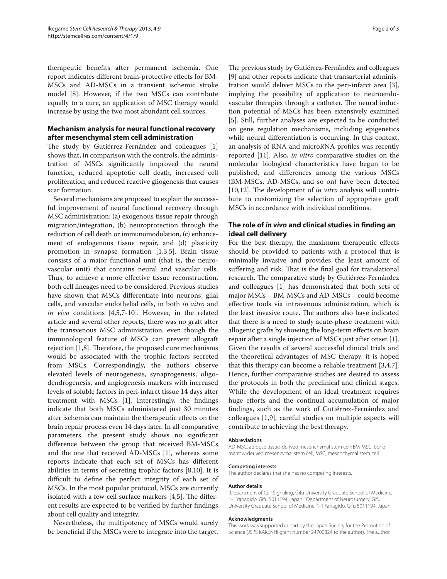therapeutic benefits after permanent ischemia. One report indicates different brain-protective effects for BM-MSCs and AD-MSCs in a transient ischemic stroke model [8]. However, if the two MSCs can contribute equally to a cure, an application of MSC therapy would increase by using the two most abundant cell sources.

### **Mechanism analysis for neural functional recovery after mesenchymal stem cell administration**

The study by Gutiérrez-Fernández and colleagues [1] shows that, in comparison with the controls, the administration of MSCs significantly improved the neural function, reduced apoptotic cell death, increased cell proliferation, and reduced reactive gliogenesis that causes scar formation.

Several mechanisms are proposed to explain the successful improvement of neural functional recovery through MSC administration: (a) exogenous tissue repair through migration/integration, (b) neuroprotection through the reduction of cell death or immuno modulation, (c) enhancement of endogenous tissue repair, and (d) plasticity promotion in synapse formation [1,3,5]. Brain tissue consists of a major functional unit (that is, the neurovascular unit) that contains neural and vascular cells. Thus, to achieve a more effective tissue reconstruction, both cell lineages need to be considered. Previous studies have shown that MSCs differentiate into neurons, glial cells, and vascular endothelial cells, in both *in vitro* and *in vivo* conditions [4,5,7-10]. However, in the related article and several other reports, there was no graft after the transvenous MSC administration, even though the immunological feature of MSCs can prevent allograft rejection  $[1,8]$ . Therefore, the proposed cure mechanisms would be associated with the trophic factors secreted from MSCs. Correspondingly, the authors observe elevated levels of neurogenesis, synaprogenesis, oligodendrogenesis, and angiogenesis markers with increased levels of soluble factors in peri-infarct tissue 14 days after treatment with  $MSCs$  [1]. Interestingly, the findings indicate that both MSCs administered just 30 minutes after ischemia can maintain the therapeutic effects on the brain repair process even 14 days later. In all comparative parameters, the present study shows no significant difference between the group that received BM-MSCs and the one that received AD-MSCs [1], whereas some reports indicate that each set of MSCs has different abilities in terms of secreting trophic factors [8,10]. It is difficult to define the perfect integrity of each set of MSCs. In the most popular protocol, MSCs are currently isolated with a few cell surface markers  $[4,5]$ . The different results are expected to be verified by further findings about cell quality and integrity.

Nevertheless, the multipotency of MSCs would surely be beneficial if the MSCs were to integrate into the target.

The previous study by Gutiérrez-Fernández and colleagues [9] and other reports indicate that transarterial administration would deliver MSCs to the peri-infarct area [3], implying the possibility of application to neuroendovascular therapies through a catheter. The neural induction potential of MSCs has been extensively examined [5]. Still, further analyses are expected to be conducted on gene regulation mechanisms, including epigenetics while neural differentiation is occurring. In this context, an analysis of RNA and microRNA profiles was recently reported [11]. Also, *in vitro* comparative studies on the molecular biological characteristics have begun to be published, and differences among the various MSCs (BM-MSCs, AD-MSCs, and so on) have been detected [10,12]. The development of *in vitro* analysis will contribute to customizing the selection of appropriate graft MSCs in accordance with individual conditions.

## **The role of** *in vivo* **and clinical studies in finding an ideal cell delivery**

For the best therapy, the maximum therapeutic effects should be provided to patients with a protocol that is minimally invasive and provides the least amount of suffering and risk. That is the final goal for translational research. The comparative study by Gutiérrez-Fernández and colleagues [1] has demonstrated that both sets of major MSCs – BM-MSCs and AD-MSCs – could become effective tools via intravenous administration, which is the least invasive route. The authors also have indicated that there is a need to study acute-phase treatment with allogenic grafts by showing the long-term effects on brain repair after a single injection of MSCs just after onset [1]. Given the results of several successful clinical trials and the theoretical advantages of MSC therapy, it is hoped that this therapy can become a reliable treatment [3,4,7]. Hence, further comparative studies are desired to assess the protocols in both the preclinical and clinical stages. While the development of an ideal treatment requires huge efforts and the continual accumulation of major findings, such as the work of Gutiérrez-Fernández and colleagues [1,9], careful studies on multiple aspects will contribute to achieving the best therapy.

#### **Abbreviations**

AD-MSC, adipose tissue-derived mesenchymal stem cell; BM-MSC, bone marrow-derived mesencymal stem cell; MSC, mesenchymal stem cell.

#### **Competing interests**

The author declares that she has no competing interests.

#### **Author details**

1 Department of Cell Signaling, Gifu University Graduate School of Medicine, 1-1 Yanagido, Gifu 5011194, Japan. 2 Department of Neurosurgery, Gifu University Graduate School of Medicine, 1-1 Yanagido, Gifu 5011194, Japan.

#### **Acknowledgments**

This work was supported in part by the Japan Society for the Promotion of Science (JSPS KAKENHI grant number 24700824 to the author). The author